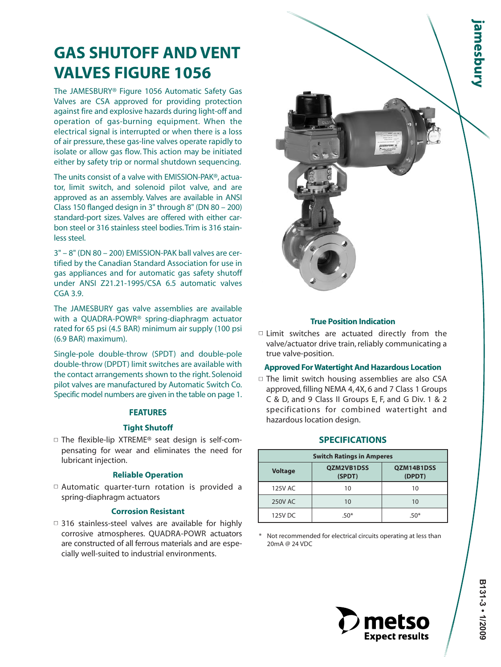# **GAS SHUTOFF AND VENT VALVES FIGURE 1056**

The JAMESBURY® Figure 1056 Automatic Safety Gas Valves are CSA approved for providing protection against fire and explosive hazards during light-off and operation of gas-burning equipment. When the electrical signal is interrupted or when there is a loss of air pressure, these gas-line valves operate rapidly to isolate or allow gas flow. This action may be initiated either by safety trip or normal shutdown sequencing.

The units consist of a valve with EMISSION-PAK®, actuator, limit switch, and solenoid pilot valve, and are approved as an assembly. Valves are available in ANSI Class 150 flanged design in 3" through 8" (DN 80 – 200) standard-port sizes. Valves are offered with either carbon steel or 316 stainless steel bodies.Trim is 316 stainless steel.

3" – 8" (DN 80 – 200) EMISSION-PAK ball valves are certified by the Canadian Standard Association for use in gas appliances and for automatic gas safety shutoff under ANSI Z21.21-1995/CSA 6.5 automatic valves CGA 3.9.

The JAMESBURY gas valve assemblies are available with a QUADRA-POWR® spring-diaphragm actuator rated for 65 psi (4.5 BAR) minimum air supply (100 psi (6.9 BAR) maximum).

Single-pole double-throw (SPDT) and double-pole double-throw (DPDT) limit switches are available with the contact arrangements shown to the right. Solenoid pilot valves are manufactured by Automatic Switch Co. Specific model numbers are given in the table on page 1.

#### **FEATURES**

#### **Tight Shutoff**

 $\square$  The flexible-lip XTREME<sup>®</sup> seat design is self-compensating for wear and eliminates the need for lubricant injection.

#### **Reliable Operation**

■ Automatic quarter-turn rotation is provided a spring-diaphragm actuators

#### **Corrosion Resistant**

 $\Box$  316 stainless-steel valves are available for highly corrosive atmospheres. QUADRA-POWR actuators are constructed of all ferrous materials and are especially well-suited to industrial environments.



#### **True Position Indication**

□ Limit switches are actuated directly from the valve/actuator drive train, reliably communicating a true valve-position.

#### **Approved For Watertight And Hazardous Location**

 $\Box$  The limit switch housing assemblies are also CSA approved, filling NEMA 4, 4X, 6 and 7 Class 1 Groups C & D, and 9 Class II Groups E, F, and G Div. 1 & 2 specifications for combined watertight and hazardous location design.

#### **SPECIFICATIONS**

| <b>Switch Ratings in Amperes</b> |                             |                      |  |  |  |  |
|----------------------------------|-----------------------------|----------------------|--|--|--|--|
| <b>Voltage</b>                   | <b>OZM2VB1DSS</b><br>(SPDT) | OZM14B1DSS<br>(DPDT) |  |  |  |  |
| 125V AC                          | 10                          | 10                   |  |  |  |  |
| <b>250V AC</b>                   | 10                          | 10                   |  |  |  |  |
| 125V DC                          | $.50*$                      | 50*                  |  |  |  |  |

\* Not recommended for electrical circuits operating at less than 20mA @ 24 VDC

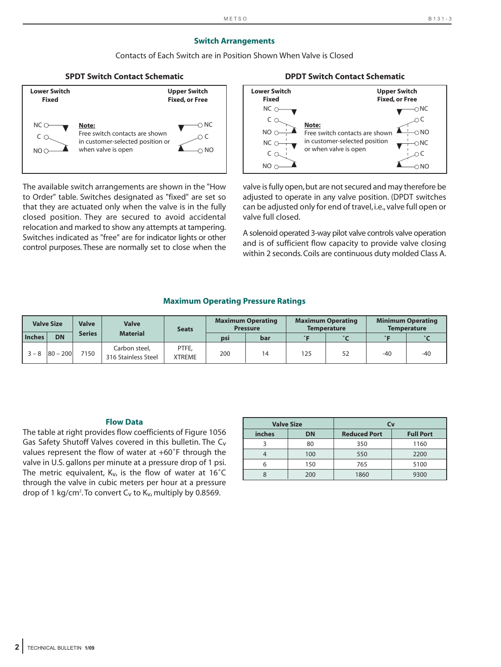#### **Switch Arrangements**

Contacts of Each Switch are in Position Shown When Valve is Closed



The available switch arrangements are shown in the "How to Order" table. Switches designated as "fixed" are set so that they are actuated only when the valve is in the fully closed position. They are secured to avoid accidental relocation and marked to show any attempts at tampering. Switches indicated as "free" are for indicator lights or other control purposes. These are normally set to close when the

### **SPDT Switch Contact Schematic DPDT Switch Contact Schematic**



valve is fully open, but are not secured and may therefore be adjusted to operate in any valve position. (DPDT switches can be adjusted only for end of travel, i.e., valve full open or valve full closed.

A solenoid operated 3-way pilot valve controls valve operation and is of sufficient flow capacity to provide valve closing within 2 seconds. Coils are continuous duty molded Class A.

#### **Maximum Operating Pressure Ratings**

|               | <b>Valve Size</b> | <b>Valve</b>  | <b>Valve</b>                         | <b>Seats</b>           |     | <b>Maximum Operating</b><br><b>Pressure</b> |     | <b>Maximum Operating</b><br><b>Temperature</b> |       | <b>Minimum Operating</b><br><b>Temperature</b> |
|---------------|-------------------|---------------|--------------------------------------|------------------------|-----|---------------------------------------------|-----|------------------------------------------------|-------|------------------------------------------------|
| <b>Inches</b> | <b>DN</b>         | <b>Series</b> | <b>Material</b>                      |                        | psi | bar                                         |     | $\circ$                                        |       |                                                |
| $3 - 8$       | $ 80 - 200 $      | 7150          | Carbon steel,<br>316 Stainless Steel | PTFE.<br><b>XTREME</b> | 200 |                                             | 125 |                                                | $-40$ | $-40$                                          |

#### **Flow Data**

The table at right provides flow coefficients of Figure 1056 Gas Safety Shutoff Valves covered in this bulletin. The C<sub>v</sub> values represent the flow of water at +60˚F through the valve in U.S. gallons per minute at a pressure drop of 1 psi. The metric equivalent,  $K_v$ , is the flow of water at 16 $^{\circ}$ C through the valve in cubic meters per hour at a pressure drop of 1 kg/cm $^2$ .To convert C<sub>v</sub> to K<sub>v</sub>, multiply by 0.8569.

| <b>Valve Size</b> |           | Сv                  |                  |  |  |  |
|-------------------|-----------|---------------------|------------------|--|--|--|
| inches            | <b>DN</b> | <b>Reduced Port</b> | <b>Full Port</b> |  |  |  |
|                   | 80        | 350                 | 1160             |  |  |  |
|                   | 100       | 550                 | 2200             |  |  |  |
| h                 | 150       | 765                 | 5100             |  |  |  |
|                   | 200       | 1860                | 9300             |  |  |  |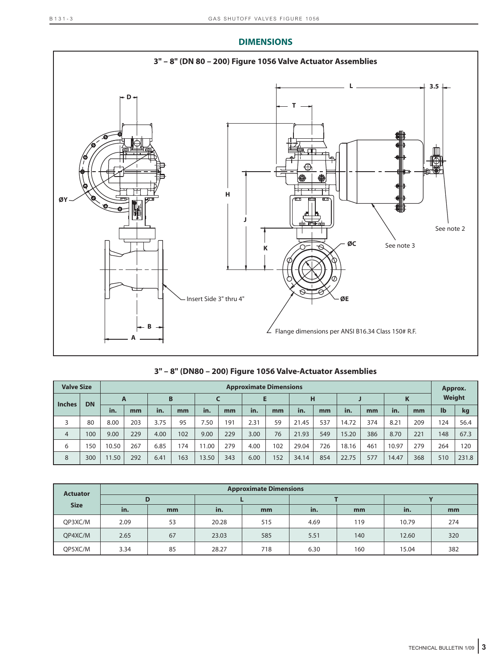## **DIMENSIONS**



| 3" - 8" (DN80 - 200) Figure 1056 Valve-Actuator Assemblies |
|------------------------------------------------------------|
|------------------------------------------------------------|

| <b>Valve Size</b> |           | <b>Approximate Dimensions</b> |     |      |     |       |     |      | Approx. |       |     |       |     |       |     |              |        |
|-------------------|-----------|-------------------------------|-----|------|-----|-------|-----|------|---------|-------|-----|-------|-----|-------|-----|--------------|--------|
| <b>Inches</b>     | <b>DN</b> | A                             |     | B    |     |       |     |      |         | н     |     |       |     | Κ     |     |              | Weight |
|                   |           | in.                           | mm  | in.  | mm  | in.   | mm  | in.  | mm      | in.   | mm  | in.   | mm  | in.   | mm  | $\mathbf{I}$ | kg     |
|                   | 80        | 8.00                          | 203 | 3.75 | 95  | 7.50  | 191 | 2.31 | 59      | 21.45 | 537 | 14.72 | 374 | 8.21  | 209 | 124          | 56.4   |
| $\overline{4}$    | 100       | 9.00                          | 229 | 4.00 | 102 | 9.00  | 229 | 3.00 | 76      | 21.93 | 549 | 15.20 | 386 | 8.70  | 221 | 148          | 67.3   |
| 6                 | 150       | 10.50                         | 267 | 6.85 | 174 | 11.00 | 279 | 4.00 | 102     | 29.04 | 726 | 18.16 | 461 | 10.97 | 279 | 264          | 120    |
| 8                 | 300       | 1.50                          | 292 | 6.41 | 163 | 13.50 | 343 | 6.00 | 152     | 34.14 | 854 | 22.75 | 577 | 14.47 | 368 | 510          | 231.8  |

| <b>Actuator</b> |      |    |       | <b>Approximate Dimensions</b> |      |     |       |     |
|-----------------|------|----|-------|-------------------------------|------|-----|-------|-----|
|                 |      | D  |       |                               |      |     |       |     |
| <b>Size</b>     | in.  | mm | in.   | mm                            | in.  | mm  | in.   | mm  |
| QP3XC/M         | 2.09 | 53 | 20.28 | 515                           | 4.69 | 119 | 10.79 | 274 |
| QP4XC/M         | 2.65 | 67 | 23.03 | 585                           | 5.51 | 140 | 12.60 | 320 |
| QP5XC/M         | 3.34 | 85 | 28.27 | 718                           | 6.30 | 160 | 15.04 | 382 |